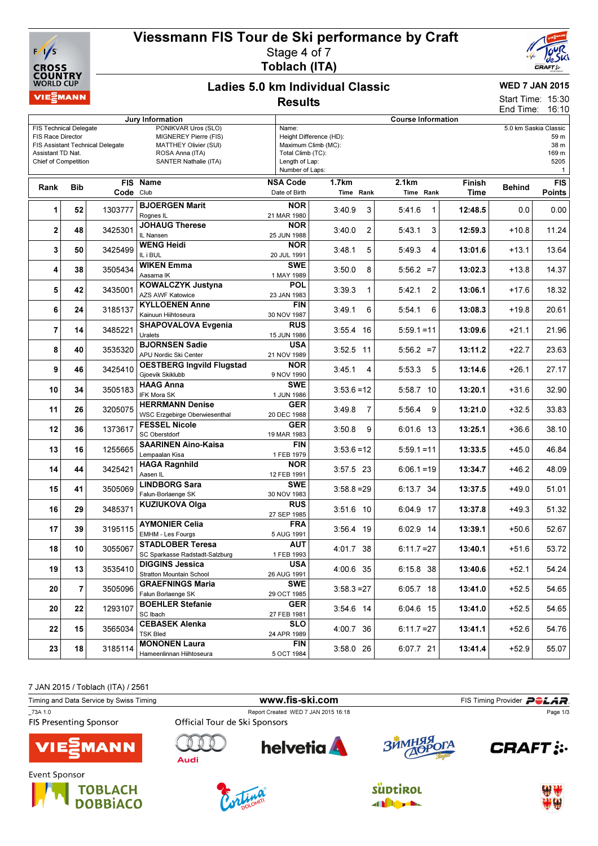

## Viessmann FIS Tour de Ski performance by Craft Stage 4 of 7



# Toblach (ITA)

#### Ladies 5.0 km Individual Classic **Results**

## WED 7 JAN 2015

15:30 16:10 Start Time: End Time:

| Jury Information                                                                                       |            |                                  |                                                                                                                   | <b>Course Information</b>                                       |                                                |                             |                                                                        |               |                             |  |  |
|--------------------------------------------------------------------------------------------------------|------------|----------------------------------|-------------------------------------------------------------------------------------------------------------------|-----------------------------------------------------------------|------------------------------------------------|-----------------------------|------------------------------------------------------------------------|---------------|-----------------------------|--|--|
| <b>FIS Technical Delegate</b><br>FIS Race Director<br>Assistant TD Nat.<br><b>Chief of Competition</b> |            | FIS Assistant Technical Delegate | PONIKVAR Uros (SLO)<br>MIGNEREY Pierre (FIS)<br>MATTHEY Olivier (SUI)<br>ROSA Anna (ITA)<br>SANTER Nathalie (ITA) | Name:<br>Total Climb (TC):<br>Length of Lap:<br>Number of Laps: | Height Difference (HD):<br>Maximum Climb (MC): |                             | 5.0 km Saskia Classic<br>59 m<br>38 m<br>169 m<br>5205<br>$\mathbf{1}$ |               |                             |  |  |
| Rank                                                                                                   | <b>Bib</b> | Code Club                        | FIS Name                                                                                                          | <b>NSA Code</b><br>Date of Birth                                | <b>1.7km</b><br>Time Rank                      | 2.1km<br>Time Rank          | Finish<br>Time                                                         | <b>Behind</b> | <b>FIS</b><br><b>Points</b> |  |  |
| 1                                                                                                      | 52         | 1303777                          | <b>BJOERGEN Marit</b><br>Rognes IL                                                                                | <b>NOR</b><br>21 MAR 1980                                       | 3:40.9                                         | 3<br>5:41.6<br>$\mathbf{1}$ | 12:48.5                                                                | 0.0           | 0.00                        |  |  |
| 2                                                                                                      | 48         | 3425301                          | <b>JOHAUG Therese</b><br>IL Nansen                                                                                | <b>NOR</b><br>25 JUN 1988                                       | 3:40.0<br>$\overline{2}$                       | 3<br>5:43.1                 | 12:59.3                                                                | $+10.8$       | 11.24                       |  |  |
| 3                                                                                                      | 50         | 3425499                          | <b>WENG Heidi</b><br>IL i BUL                                                                                     | <b>NOR</b><br>20 JUL 1991                                       | 3:48.1                                         | 5<br>5:49.3<br>4            | 13:01.6                                                                | $+13.1$       | 13.64                       |  |  |
| 4                                                                                                      | 38         | 3505434                          | <b>WIKEN Emma</b><br>Aasama IK                                                                                    | <b>SWE</b><br>1 MAY 1989                                        | 3:50.0                                         | 8<br>$5:56.2 = 7$           | 13:02.3                                                                | $+13.8$       | 14.37                       |  |  |
| 5                                                                                                      | 42         | 3435001                          | KOWALCZYK Justyna<br><b>AZS AWF Katowice</b>                                                                      | POL<br>23 JAN 1983                                              | 3:39.3<br>1                                    | 5:42.1<br>2                 | 13:06.1                                                                | $+17.6$       | 18.32                       |  |  |
| 6                                                                                                      | 24         | 3185137                          | <b>KYLLOENEN Anne</b><br>Kainuun Hiihtoseura                                                                      | <b>FIN</b><br>30 NOV 1987                                       | 3:49.1<br>6                                    | 5:54.1<br>6                 | 13:08.3                                                                | $+19.8$       | 20.61                       |  |  |
| $\overline{7}$                                                                                         | 14         | 3485221                          | <b>SHAPOVALOVA Evgenia</b><br>Uralets                                                                             | <b>RUS</b><br>15 JUN 1986                                       | 3:55.4 16                                      | $5:59.1 = 11$               | 13:09.6                                                                | $+21.1$       | 21.96                       |  |  |
| 8                                                                                                      | 40         | 3535320                          | <b>BJORNSEN Sadie</b><br>APU Nordic Ski Center                                                                    | <b>USA</b><br>21 NOV 1989                                       | 3:52.5 11                                      | $5:56.2 = 7$                | 13:11.2                                                                | $+22.7$       | 23.63                       |  |  |
| 9                                                                                                      | 46         | 3425410                          | <b>OESTBERG Ingvild Flugstad</b><br>Gioevik Skiklubb                                                              | <b>NOR</b><br>9 NOV 1990                                        | 3:45.1                                         | 4<br>5:53.3<br>5            | 13:14.6                                                                | $+26.1$       | 27.17                       |  |  |
| 10                                                                                                     | 34         | 3505183                          | <b>HAAG Anna</b><br>IFK Mora SK                                                                                   | <b>SWE</b><br>1 JUN 1986                                        | $3:53.6=12$                                    | 5:58.7 10                   | 13:20.1                                                                | $+31.6$       | 32.90                       |  |  |
| 11                                                                                                     | 26         | 3205075                          | <b>HERRMANN Denise</b><br><b>WSC Erzgebirge Oberwiesenthal</b>                                                    | <b>GER</b><br>20 DEC 1988                                       | 3:49.8                                         | 7<br>5:56.4<br>9            | 13:21.0                                                                | $+32.5$       | 33.83                       |  |  |
| 12                                                                                                     | 36         | 1373617                          | <b>FESSEL Nicole</b><br><b>SC Oberstdorf</b>                                                                      | <b>GER</b><br>19 MAR 1983                                       | 3:50.8                                         | 9<br>6:01.6 13              | 13:25.1                                                                | $+36.6$       | 38.10                       |  |  |
| 13                                                                                                     | 16         | 1255665                          | <b>SAARINEN Aino-Kaisa</b><br>Lempaalan Kisa                                                                      | <b>FIN</b><br>1 FEB 1979                                        | $3:53.6 = 12$                                  | $5:59.1 = 11$               | 13:33.5                                                                | $+45.0$       | 46.84                       |  |  |
| 14                                                                                                     | 44         | 3425421                          | <b>HAGA Ragnhild</b><br>Aasen IL                                                                                  | <b>NOR</b><br>12 FEB 1991                                       | 3:57.5 23                                      | $6:06.1 = 19$               | 13:34.7                                                                | $+46.2$       | 48.09                       |  |  |
| 15                                                                                                     | 41         | 3505069                          | <b>LINDBORG Sara</b><br>Falun-Borlaenge SK                                                                        | <b>SWE</b><br>30 NOV 1983                                       | $3:58.8 = 29$                                  | 6:13.7 34                   | 13:37.5                                                                | $+49.0$       | 51.01                       |  |  |
| 16                                                                                                     | 29         | 3485371                          | <b>KUZIUKOVA Olga</b>                                                                                             | <b>RUS</b><br>27 SEP 1985                                       | 3:51.6 10                                      | 6:04.9 17                   | 13:37.8                                                                | $+49.3$       | 51.32                       |  |  |
| 17                                                                                                     | 39         | 3195115                          | <b>AYMONIER Celia</b><br>EMHM - Les Fourgs                                                                        | <b>FRA</b><br>5 AUG 1991                                        | 3:56.4 19                                      | $6:02.9$ 14                 | 13:39.1                                                                | $+50.6$       | 52.67                       |  |  |
| 18                                                                                                     | 10         | 3055067                          | <b>STADLOBER Teresa</b><br>SC Sparkasse Radstadt-Salzburg                                                         | <b>AUT</b><br>1 FEB 1993                                        | 4:01.7 38                                      | $6:11.7=27$                 | 13:40.1                                                                | $+51.6$       | 53.72                       |  |  |
| 19                                                                                                     | 13         | 3535410                          | <b>DIGGINS Jessica</b><br>Stratton Mountain School                                                                | $\overline{\text{USA}}$<br>26 AUG 1991                          | 4:00.6 35                                      | 6:15.8 38                   | 13:40.6                                                                | $+52.1$       | 54.24                       |  |  |
| 20                                                                                                     | 7          | 3505096                          | <b>GRAEFNINGS Maria</b><br>Falun Borlaenge SK                                                                     | <b>SWE</b><br>29 OCT 1985                                       | $3:58.3 = 27$                                  | 6:05.7 18                   | 13:41.0                                                                | $+52.5$       | 54.65                       |  |  |
| 20                                                                                                     | 22         | 1293107                          | <b>BOEHLER Stefanie</b><br>SC Ibach                                                                               | <b>GER</b><br>27 FEB 1981                                       | 3:54.6 14                                      | 6:04.6 15                   | 13:41.0                                                                | $+52.5$       | 54.65                       |  |  |
| 22                                                                                                     | 15         | 3565034                          | <b>CEBASEK Alenka</b><br><b>TSK Bled</b>                                                                          | <b>SLO</b><br>24 APR 1989                                       | 4:00.7 36                                      | $6:11.7=27$                 | 13:41.1                                                                | $+52.6$       | 54.76                       |  |  |
| 23                                                                                                     | 18         | 3185114                          | <b>MONONEN Laura</b><br>Hameenlinnan Hiihtoseura                                                                  | <b>FIN</b><br>5 OCT 1984                                        | 3:58.0 26                                      | 6:07.7 21                   | 13:41.4                                                                | $+52.9$       | 55.07                       |  |  |



| Timing and Data Service by Swiss Timing | www.fis-ski.com               |                                     |            | FIS Timing Provider POLAR. |  |  |
|-----------------------------------------|-------------------------------|-------------------------------------|------------|----------------------------|--|--|
| 73A 1.0                                 |                               | Report Created WED 7 JAN 2015 16:18 |            | Page 1/3                   |  |  |
| <b>FIS Presenting Sponsor</b>           | Official Tour de Ski Sponsors |                                     |            |                            |  |  |
| <b>VIE</b> MANN                         | Audi                          | <b>helvetia</b>                     | ЗЙМНЯЯ ОГА | <b>CRAFT:</b>              |  |  |
| Event Sponsor                           |                               |                                     |            |                            |  |  |







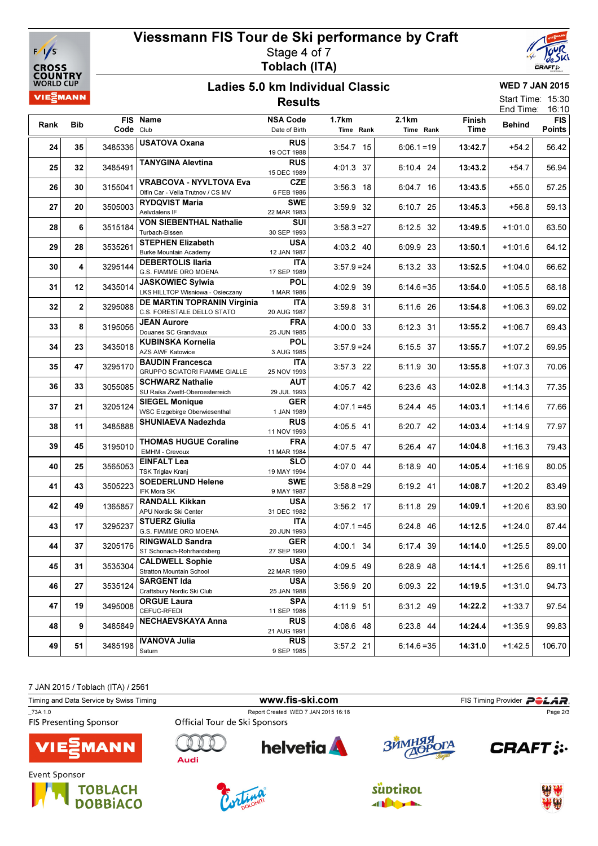

## Viessmann FIS Tour de Ski performance by Craft Stage 4 of 7 Toblach (ITA)



#### Ladies 5.0 km Individual Classic Results

WED 7 JAN 2015 Start Time: 15:30

|      |                         |           | 1 1634 I 16                                                         |                                  |                           |                    |                |               | End Time:<br>16:10          |
|------|-------------------------|-----------|---------------------------------------------------------------------|----------------------------------|---------------------------|--------------------|----------------|---------------|-----------------------------|
| Rank | <b>Bib</b>              | Code Club | FIS Name                                                            | <b>NSA Code</b><br>Date of Birth | <b>1.7km</b><br>Time Rank | 2.1km<br>Time Rank | Finish<br>Time | <b>Behind</b> | <b>FIS</b><br><b>Points</b> |
| 24   | 35                      | 3485336   | <b>USATOVA Oxana</b>                                                | <b>RUS</b><br>19 OCT 1988        | 3:54.7 15                 | $6:06.1 = 19$      | 13:42.7        | $+54.2$       | 56.42                       |
| 25   | 32                      | 3485491   | <b>TANYGINA Alevtina</b>                                            | <b>RUS</b><br>15 DEC 1989        | 4:01.3 37                 | 6:10.4 24          | 13:43.2        | $+54.7$       | 56.94                       |
| 26   | 30                      | 3155041   | <b>VRABCOVA - NYVLTOVA Eva</b><br>Olfin Car - Vella Trutnov / CS MV | <b>CZE</b><br>6 FEB 1986         | $3:56.3$ 18               | 6:04.7 16          | 13:43.5        | $+55.0$       | 57.25                       |
| 27   | 20                      | 3505003   | <b>RYDQVIST Maria</b><br>Aelvdalens IF                              | <b>SWE</b><br>22 MAR 1983        | 3:59.9 32                 | 6:10.7 25          | 13:45.3        | $+56.8$       | 59.13                       |
| 28   | 6                       | 3515184   | <b>VON SIEBENTHAL Nathalie</b><br>Turbach-Bissen                    | SUI<br>30 SEP 1993               | $3:58.3 = 27$             | 6:12.5 32          | 13:49.5        | $+1:01.0$     | 63.50                       |
| 29   | 28                      | 3535261   | <b>STEPHEN Elizabeth</b><br><b>Burke Mountain Academy</b>           | <b>USA</b><br>12 JAN 1987        | 4:03.2 40                 | 6:09.9 23          | 13:50.1        | $+1:01.6$     | 64.12                       |
| 30   | 4                       | 3295144   | <b>DEBERTOLIS Ilaria</b><br>G.S. FIAMME ORO MOENA                   | ITA<br>17 SEP 1989               | $3:57.9 = 24$             | 6:13.2 33          | 13:52.5        | $+1:04.0$     | 66.62                       |
| 31   | 12                      | 3435014   | <b>JASKOWIEC Sylwia</b><br>LKS HILLTOP Wisniowa - Osieczany         | <b>POL</b><br>1 MAR 1986         | 4:02.9 39                 | $6:14.6=35$        | 13:54.0        | $+1:05.5$     | 68.18                       |
| 32   | $\overline{\mathbf{2}}$ | 3295088   | <b>DE MARTIN TOPRANIN Virginia</b><br>C.S. FORESTALE DELLO STATO    | ITA<br>20 AUG 1987               | 3:59.8 31                 | 6:11.6 26          | 13:54.8        | $+1:06.3$     | 69.02                       |
| 33   | 8                       | 3195056   | <b>JEAN Aurore</b><br>Douanes SC Grandvaux                          | <b>FRA</b><br>25 JUN 1985        | 4:00.0 33                 | 6:12.3 31          | 13:55.2        | $+1:06.7$     | 69.43                       |
| 34   | 23                      | 3435018   | <b>KUBINSKA Kornelia</b><br>AZS AWF Katowice                        | <b>POL</b><br>3 AUG 1985         | $3:57.9 = 24$             | 6:15.5 37          | 13:55.7        | $+1:07.2$     | 69.95                       |
| 35   | 47                      | 3295170   | <b>BAUDIN Francesca</b><br>GRUPPO SCIATORI FIAMME GIALLE            | <b>ITA</b><br>25 NOV 1993        | 3:57.3 22                 | 6:11.9 30          | 13:55.8        | $+1:07.3$     | 70.06                       |
| 36   | 33                      | 3055085   | <b>SCHWARZ Nathalie</b><br>SU Raika Zwettl-Oberoesterreich          | <b>AUT</b><br>29 JUL 1993        | 4:05.7 42                 | 6:23.6 43          | 14:02.8        | $+1:14.3$     | 77.35                       |
| 37   | 21                      | 3205124   | <b>SIEGEL Monique</b><br>WSC Erzgebirge Oberwiesenthal              | <b>GER</b><br>1 JAN 1989         | $4:07.1 = 45$             | 6:24.4 45          | 14:03.1        | $+1:14.6$     | 77.66                       |
| 38   | 11                      | 3485888   | <b>SHUNIAEVA Nadezhda</b>                                           | <b>RUS</b><br>11 NOV 1993        | 4:05.5 41                 | 6:20.7 42          | 14:03.4        | $+1:14.9$     | 77.97                       |
| 39   | 45                      | 3195010   | <b>THOMAS HUGUE Coraline</b><br>EMHM - Crevoux                      | <b>FRA</b><br>11 MAR 1984        | 4:07.5 47                 | 6:26.4 47          | 14:04.8        | $+1:16.3$     | 79.43                       |
| 40   | 25                      | 3565053   | <b>EINFALT Lea</b><br><b>TSK Triglav Kranj</b>                      | <b>SLO</b><br>19 MAY 1994        | 4:07.0 44                 | 6:18.9 40          | 14:05.4        | $+1:16.9$     | 80.05                       |
| 41   | 43                      | 3505223   | <b>SOEDERLUND Helene</b><br>IFK Mora SK                             | <b>SWE</b><br>9 MAY 1987         | $3:58.8 = 29$             | 6:19.2 41          | 14:08.7        | $+1:20.2$     | 83.49                       |
| 42   | 49                      | 1365857   | <b>RANDALL Kikkan</b><br>APU Nordic Ski Center                      | <b>USA</b><br>31 DEC 1982        | 3:56.2 17                 | 6:11.8 29          | 14:09.1        | $+1:20.6$     | 83.90                       |
| 43   | 17                      | 3295237   | <b>STUERZ Giulia</b><br>G.S. FIAMME ORO MOENA                       | ITA<br>20 JUN 1993               | $4:07.1 = 45$             | 6:24.8 46          | 14:12.5        | $+1:24.0$     | 87.44                       |
| 44   | 37                      | 3205176   | <b>RINGWALD Sandra</b><br>ST Schonach-Rohrhardsberg                 | <b>GER</b><br>27 SEP 1990        | 4:00.1 34                 | 6:17.4 39          | 14:14.0        | $+1:25.5$     | 89.00                       |
| 45   | 31                      | 3535304   | <b>CALDWELL Sophie</b><br><b>Stratton Mountain School</b>           | <b>USA</b><br>22 MAR 1990        | 4:09.5 49                 | 6:28.9 48          | 14:14.1        | $+1:25.6$     | 89.11                       |
| 46   | 27                      | 3535124   | <b>SARGENT Ida</b><br>Craftsbury Nordic Ski Club                    | <b>USA</b><br>25 JAN 1988        | 3:56.9 20                 | 6:09.3 22          | 14:19.5        | $+1:31.0$     | 94.73                       |
| 47   | 19                      | 3495008   | <b>ORGUE Laura</b><br>CEFUC-RFEDI                                   | <b>SPA</b><br>11 SEP 1986        | 4:11.9 51                 | 6:31.2 49          | 14:22.2        | $+1:33.7$     | 97.54                       |
| 48   | 9                       | 3485849   | <b>NECHAEVSKAYA Anna</b>                                            | <b>RUS</b><br>21 AUG 1991        | 4:08.6 48                 | 6:23.8 44          | 14:24.4        | $+1:35.9$     | 99.83                       |
| 49   | 51                      | 3485198   | <b>IVANOVA Julia</b><br>Saturn                                      | <b>RUS</b><br>9 SEP 1985         | $3:57.2$ 21               | $6:14.6=35$        | 14:31.0        | $+1:42.5$     | 106.70                      |

7 JAN 2015 / Toblach (ITA) / 2561

| Timing and Data Service by Swiss Timing |                               |                                     | FIS Timing Provider <b>POLAR</b> . |               |
|-----------------------------------------|-------------------------------|-------------------------------------|------------------------------------|---------------|
| 73A 1.0                                 |                               | Report Created WED 7 JAN 2015 16:18 |                                    | Page 2/3      |
| <b>FIS Presenting Sponsor</b>           | Official Tour de Ski Sponsors |                                     |                                    |               |
| <b>VIE</b> MANN                         | Audi                          | <b>helvetia</b>                     | ЗЙМНЯЯ ОГА                         | <b>CRAFT:</b> |
| Event Sponsor                           |                               |                                     |                                    |               |